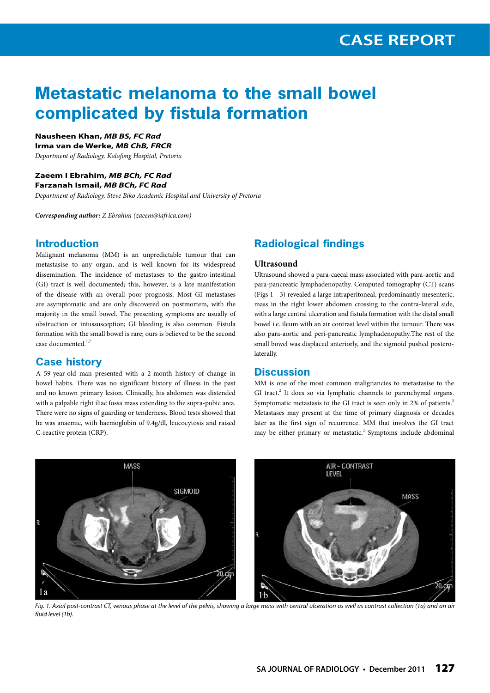# **Metastatic melanoma to the small bowel complicated by fistula formation**

## **Nausheen Khan,** *MB BS, FC Rad*

**Irma van de Werke,** *MB ChB, FRCR*

*Department of Radiology, Kalafong Hospital, Pretoria*

## **Zaeem I Ebrahim,** *MB BCh, FC Rad*

**Farzanah Ismail,** *MB BCh, FC Rad Department of Radiology, Steve Biko Academic Hospital and University of Pretoria*

*Corresponding author: Z Ebrahim (zaeem@iafrica.com)*

## **Introduction**

Malignant melanoma (MM) is an unpredictable tumour that can metastasise to any organ, and is well known for its widespread dissemination. The incidence of metastases to the gastro-intestinal (GI) tract is well documented; this, however, is a late manifestation of the disease with an overall poor prognosis. Most GI metastases are asymptomatic and are only discovered on postmortem, with the majority in the small bowel. The presenting symptoms are usually of obstruction or intussusception; GI bleeding is also common. Fistula formation with the small bowel is rare; ours is believed to be the second case documented.<sup>1,2</sup>

### **Case history**

A 59-year-old man presented with a 2-month history of change in bowel habits. There was no significant history of illness in the past and no known primary lesion. Clinically, his abdomen was distended with a palpable right iliac fossa mass extending to the supra-pubic area. There were no signs of guarding or tenderness. Blood tests showed that he was anaemic, with haemoglobin of 9.4g/dl, leucocytosis and raised C-reactive protein (CRP).

## **Radiological findings**

#### **Ultrasound**

Ultrasound showed a para-caecal mass associated with para-aortic and para-pancreatic lymphadenopathy. Computed tomography (CT) scans (Figs 1 - 3) revealed a large intraperitoneal, predominantly mesenteric, mass in the right lower abdomen crossing to the contra-lateral side, with a large central ulceration and fistula formation with the distal small bowel i.e. ileum with an air contrast level within the tumour. There was also para-aortic and peri-pancreatic lymphadenopathy.The rest of the small bowel was displaced anteriorly, and the sigmoid pushed posterolaterally.

#### **Discussion**

MM is one of the most common malignancies to metastasise to the GI tract.<sup>2</sup> It does so via lymphatic channels to parenchymal organs. Symptomatic metastasis to the GI tract is seen only in 2% of patients.<sup>3</sup> Metastases may present at the time of primary diagnosis or decades later as the first sign of recurrence. MM that involves the GI tract may be either primary or metastatic.<sup>2</sup> Symptoms include abdominal



*Fig. 1. Axial post-contrast CT, venous phase at the level of the pelvis, showing a large mass with central ulceration as well as contrast collection (1a) and an air fluid level (1b).*